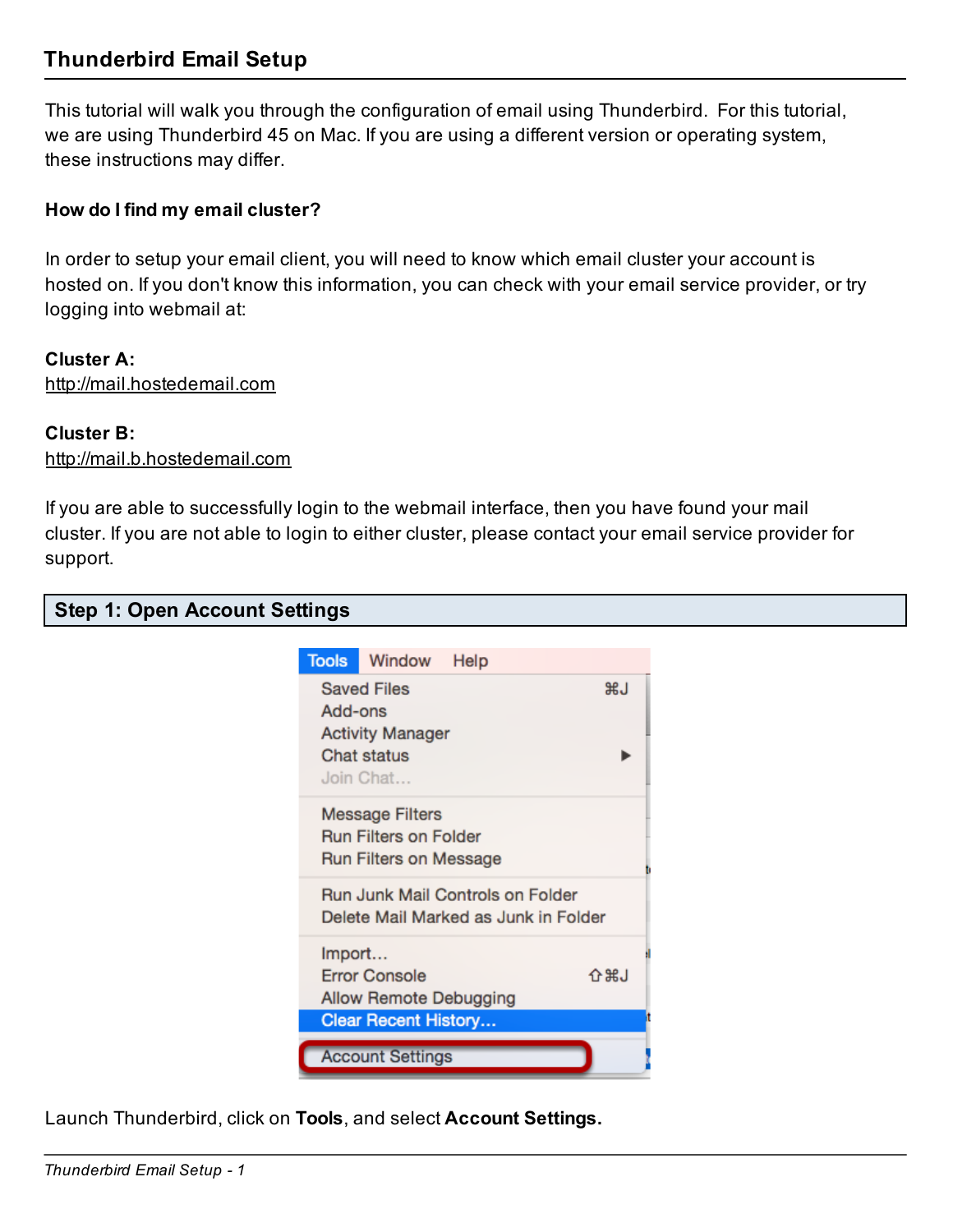## Thunderbird Email Setup

This tutorial will walk you through the configuration of email using Thunderbird. For this tutorial, we are using Thunderbird 45 on Mac. If you are using a different version or operating system, these instructions may differ.

### How do I find my email cluster?

In order to setup your email client, you will need to know which email cluster your account is hosted on. If you don't know this information, you can check with your email service provider, or try logging into webmail at:

### Cluster A:

http://mail.hostedemail.com

### Cluster B:

http://mail.b.hostedemail.com

If you are able to successfully login to the webmail interface, then you have found your mail cluster. If you are not able to login to either cluster, please contact your email service provider for support.

|  |  |  | <b>Step 1: Open Account Settings</b> |  |
|--|--|--|--------------------------------------|--|
|--|--|--|--------------------------------------|--|

| <b>Tools</b>                         | Window                       | Help |       |  |  |  |
|--------------------------------------|------------------------------|------|-------|--|--|--|
| <b>Saved Files</b><br><b>RJ</b>      |                              |      |       |  |  |  |
| Add-ons                              |                              |      |       |  |  |  |
| <b>Activity Manager</b>              |                              |      |       |  |  |  |
|                                      | Chat status                  |      |       |  |  |  |
|                                      | Join Chat                    |      |       |  |  |  |
|                                      | <b>Message Filters</b>       |      |       |  |  |  |
|                                      | <b>Run Filters on Folder</b> |      |       |  |  |  |
|                                      | Run Filters on Message       |      |       |  |  |  |
| Run Junk Mail Controls on Folder     |                              |      |       |  |  |  |
| Delete Mail Marked as Junk in Folder |                              |      |       |  |  |  |
| Import                               |                              |      |       |  |  |  |
|                                      | <b>Error Console</b>         |      | 介 黑 小 |  |  |  |
|                                      | Allow Remote Debugging       |      |       |  |  |  |
|                                      | <b>Clear Recent History</b>  |      |       |  |  |  |
|                                      | <b>Account Settings</b>      |      |       |  |  |  |

Launch Thunderbird, click on Tools, and select Account Settings.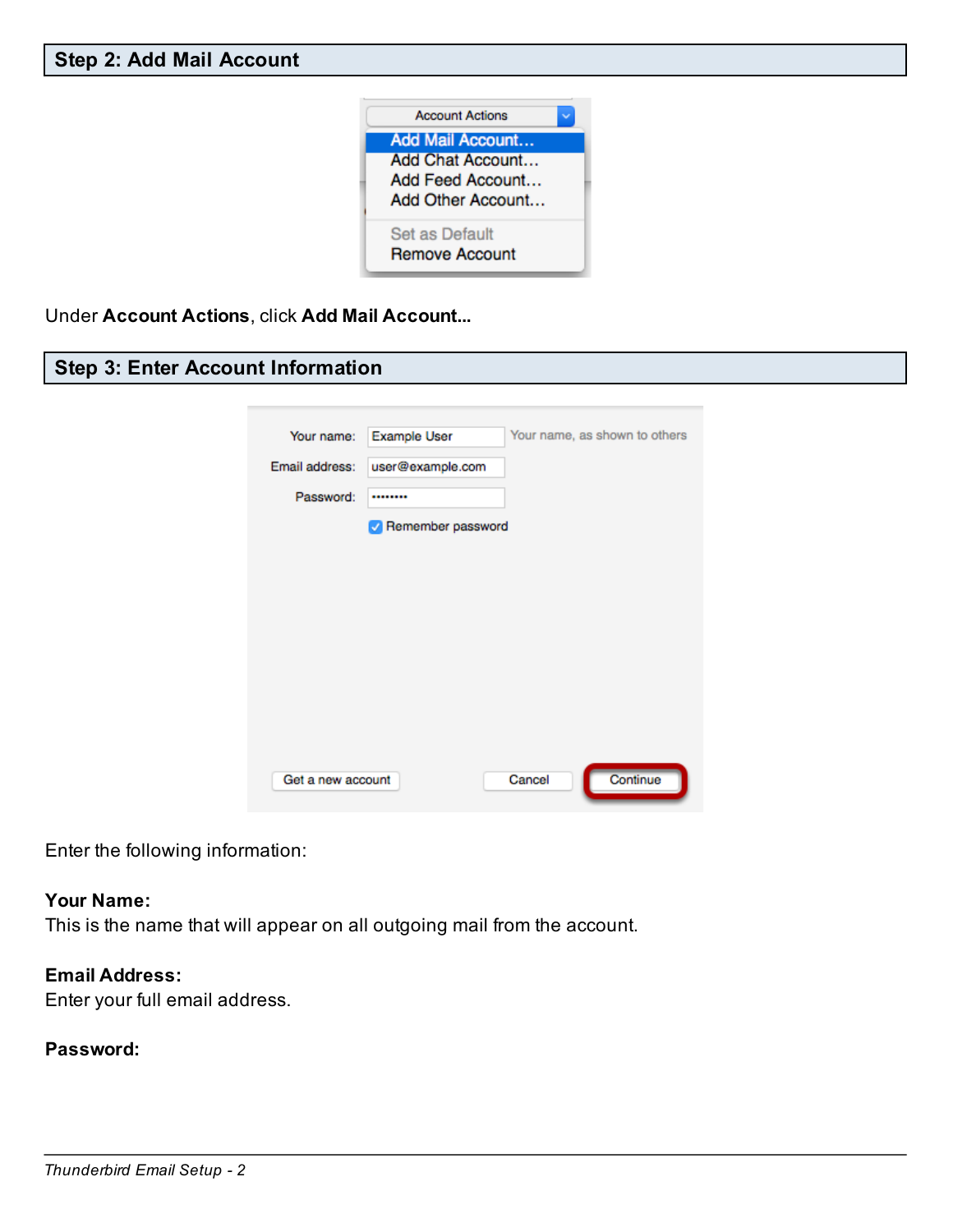

Under Account Actions, click Add Mail Account...

### Step 3: Enter Account Information

| Your name:        | <b>Example User</b> |        | Your name, as shown to others |
|-------------------|---------------------|--------|-------------------------------|
| Email address:    | user@example.com    |        |                               |
| Password:         |                     |        |                               |
|                   | Remember password   |        |                               |
|                   |                     |        |                               |
|                   |                     |        |                               |
|                   |                     |        |                               |
|                   |                     |        |                               |
|                   |                     |        |                               |
|                   |                     |        |                               |
|                   |                     |        |                               |
| Get a new account |                     | Cancel | Continue                      |

Enter the following information:

### Your Name:

This is the name that will appear on all outgoing mail from the account.

### Email Address:

Enter your full email address.

### Password: